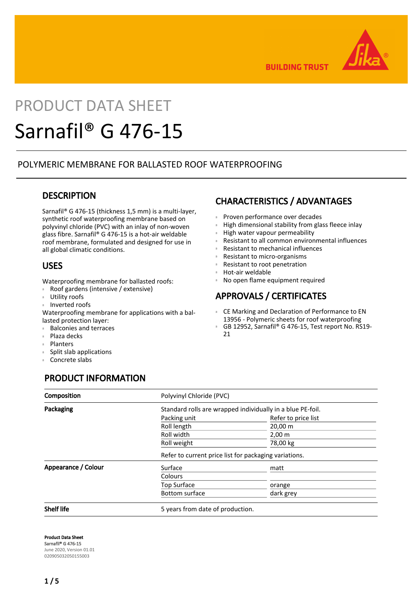

**BUILDING TRUST** 

# PRODUCT DATA SHEET Sarnafil® G 476-15

## POLYMERIC MEMBRANE FOR BALLASTED ROOF WATERPROOFING

## **DESCRIPTION**

Sarnafil® G 476-15 (thickness 1,5 mm) is a multi-layer, synthetic roof waterproofing membrane based on polyvinyl chloride (PVC) with an inlay of non-woven glass fibre. Sarnafil® G 476-15 is a hot-air weldable roof membrane, formulated and designed for use in all global climatic conditions.

## USES

Waterproofing membrane for ballasted roofs:

- Roof gardens (intensive / extensive)
- Utility roofs
- Inverted roofs

Waterproofing membrane for applications with a ballasted protection layer:

- **Balconies and terraces**
- Plaza decks
- Planters
- Split slab applications
- Concrete slabs

# PRODUCT INFORMATION

# CHARACTERISTICS / ADVANTAGES

- **Proven performance over decades**
- **EXECT:** High dimensional stability from glass fleece inlay
- High water vapour permeability
- Resistant to all common environmental influences
- Resistant to mechanical influences
- Resistant to micro-organisms
- Resistant to root penetration
- Hot-air weldable
- No open flame equipment required

# APPROVALS / CERTIFICATES

- CE Marking and Declaration of Performance to EN 13956 - Polymeric sheets for roof waterproofing
- GB 12952, Sarnafil® G 476-15, Test report No. RS19- 21 Œ

| Composition         | Polyvinyl Chloride (PVC)                                   |                     |  |
|---------------------|------------------------------------------------------------|---------------------|--|
| Packaging           | Standard rolls are wrapped individually in a blue PE-foil. |                     |  |
|                     | Packing unit                                               | Refer to price list |  |
|                     | Roll length                                                | $20,00 \, \text{m}$ |  |
|                     | Roll width                                                 | $2,00 \, \text{m}$  |  |
|                     | Roll weight                                                | 78,00 kg            |  |
|                     | Refer to current price list for packaging variations.      |                     |  |
| Appearance / Colour | Surface                                                    | matt                |  |
|                     | Colours                                                    |                     |  |
|                     | <b>Top Surface</b>                                         | orange              |  |
|                     | <b>Bottom surface</b>                                      | dark grey           |  |
| <b>Shelf life</b>   | 5 years from date of production.                           |                     |  |

Product Data Sheet Sarnafil® G 476-15 June 2020, Version 01.01 020905032050155003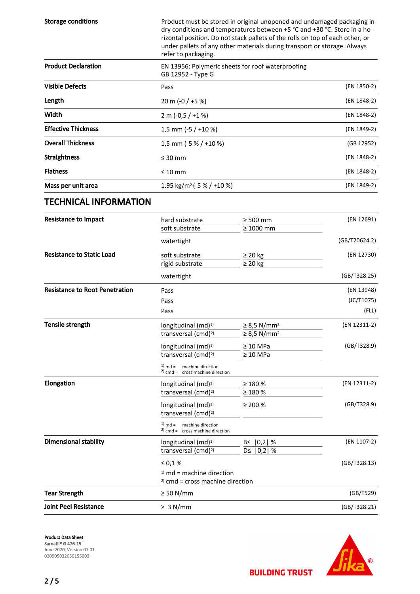| <b>Storage conditions</b>             | Product must be stored in original unopened and undamaged packaging in<br>dry conditions and temperatures between +5 °C and +30 °C. Store in a ho-<br>rizontal position. Do not stack pallets of the rolls on top of each other, or<br>under pallets of any other materials during transport or storage. Always<br>refer to packaging. |                                    |               |
|---------------------------------------|----------------------------------------------------------------------------------------------------------------------------------------------------------------------------------------------------------------------------------------------------------------------------------------------------------------------------------------|------------------------------------|---------------|
| <b>Product Declaration</b>            | EN 13956: Polymeric sheets for roof waterproofing<br>GB 12952 - Type G                                                                                                                                                                                                                                                                 |                                    |               |
| <b>Visible Defects</b>                | Pass                                                                                                                                                                                                                                                                                                                                   |                                    | (EN 1850-2)   |
| Length                                | 20 m (-0 / +5 %)                                                                                                                                                                                                                                                                                                                       |                                    | (EN 1848-2)   |
| Width                                 | $2 m (-0.5 / +1%)$                                                                                                                                                                                                                                                                                                                     |                                    | (EN 1848-2)   |
| <b>Effective Thickness</b>            | 1,5 mm ( $-5$ / $+10$ %)                                                                                                                                                                                                                                                                                                               |                                    | (EN 1849-2)   |
| <b>Overall Thickness</b>              | 1,5 mm (-5 % / +10 %)                                                                                                                                                                                                                                                                                                                  |                                    | (GB 12952)    |
| <b>Straightness</b>                   | $\leq 30$ mm                                                                                                                                                                                                                                                                                                                           |                                    | (EN 1848-2)   |
| <b>Flatness</b>                       | $\leq 10$ mm                                                                                                                                                                                                                                                                                                                           |                                    | (EN 1848-2)   |
| Mass per unit area                    | 1.95 kg/m <sup>2</sup> (-5 % / +10 %)                                                                                                                                                                                                                                                                                                  |                                    | (EN 1849-2)   |
| <b>TECHNICAL INFORMATION</b>          |                                                                                                                                                                                                                                                                                                                                        |                                    |               |
| <b>Resistance to Impact</b>           | hard substrate                                                                                                                                                                                                                                                                                                                         | $\geq 500$ mm                      | (EN 12691)    |
|                                       | soft substrate                                                                                                                                                                                                                                                                                                                         | $\geq 1000$ mm                     |               |
|                                       | watertight                                                                                                                                                                                                                                                                                                                             |                                    | (GB/T20624.2) |
| <b>Resistance to Static Load</b>      | soft substrate                                                                                                                                                                                                                                                                                                                         | $\geq 20$ kg                       | (EN 12730)    |
|                                       | rigid substrate<br>watertight                                                                                                                                                                                                                                                                                                          | $\geq 20$ kg                       | (GB/T328.25)  |
| <b>Resistance to Root Penetration</b> | Pass                                                                                                                                                                                                                                                                                                                                   |                                    | (EN 13948)    |
|                                       | Pass                                                                                                                                                                                                                                                                                                                                   |                                    | (JC/T1075)    |
|                                       | Pass                                                                                                                                                                                                                                                                                                                                   |                                    | (FLL)         |
| <b>Tensile strength</b>               | longitudinal (md) <sup>1)</sup>                                                                                                                                                                                                                                                                                                        | $\geq$ 8,5 N/mm <sup>2</sup>       | (EN 12311-2)  |
|                                       | transversal (cmd) <sup>2)</sup>                                                                                                                                                                                                                                                                                                        | $\geq$ 8,5 N/mm <sup>2</sup>       |               |
|                                       | longitudinal (md) <sup>1)</sup>                                                                                                                                                                                                                                                                                                        | $\geq 10$ MPa                      | (GB/T328.9)   |
|                                       | transversal (cmd) <sup>2)</sup>                                                                                                                                                                                                                                                                                                        | $\geq 10$ MPa                      |               |
|                                       | $^{(1)}$ md =<br>machine direction<br>$2)$ cmd = cross machine direction                                                                                                                                                                                                                                                               |                                    |               |
| Elongation                            | longitudinal $(md)^{1)}$                                                                                                                                                                                                                                                                                                               | $\geq 180\%$                       | (EN 12311-2)  |
|                                       | transversal (cmd) <sup>2)</sup>                                                                                                                                                                                                                                                                                                        | $\geq 180 \%$                      |               |
|                                       | longitudinal (md) <sup>1)</sup><br>transversal (cmd) <sup>2)</sup>                                                                                                                                                                                                                                                                     | $\geq 200 \%$                      | (GB/T328.9)   |
|                                       | $1)$ md = machine direction<br>$2)$ cmd = cross machine direction                                                                                                                                                                                                                                                                      |                                    |               |
| <b>Dimensional stability</b>          | longitudinal (md) <sup>1)</sup><br>transversal (cmd) <sup>2)</sup>                                                                                                                                                                                                                                                                     | $B \le  0,2 $ %<br>$D \le  0,2 $ % | (EN 1107-2)   |
|                                       | $\leq 0.1 \%$                                                                                                                                                                                                                                                                                                                          |                                    | (GB/T328.13)  |
|                                       | $1)$ md = machine direction<br>$2)$ cmd = cross machine direction                                                                                                                                                                                                                                                                      |                                    |               |
| <b>Tear Strength</b>                  | $\geq 50$ N/mm                                                                                                                                                                                                                                                                                                                         |                                    | (GB/T529)     |
| <b>Joint Peel Resistance</b>          | $\geq 3$ N/mm                                                                                                                                                                                                                                                                                                                          |                                    | (GB/T328.21)  |





**BUILDING TRUST** 

2 / 5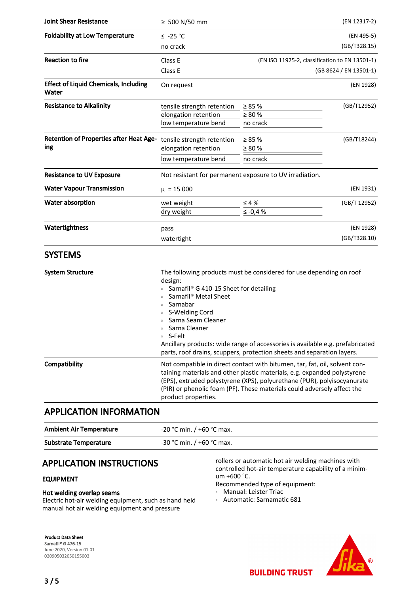| <b>Joint Shear Resistance</b>                         | ≥ 500 N/50 mm                                                                                                                                                                                                                                                                                                                                                                                 |                                                                                                                                                                                                                                                                                                              | (EN 12317-2)              |
|-------------------------------------------------------|-----------------------------------------------------------------------------------------------------------------------------------------------------------------------------------------------------------------------------------------------------------------------------------------------------------------------------------------------------------------------------------------------|--------------------------------------------------------------------------------------------------------------------------------------------------------------------------------------------------------------------------------------------------------------------------------------------------------------|---------------------------|
| <b>Foldability at Low Temperature</b>                 | $≤ -25 °C$                                                                                                                                                                                                                                                                                                                                                                                    |                                                                                                                                                                                                                                                                                                              | (EN 495-5)                |
|                                                       | no crack                                                                                                                                                                                                                                                                                                                                                                                      |                                                                                                                                                                                                                                                                                                              | (GB/T328.15)              |
| <b>Reaction to fire</b>                               | Class E                                                                                                                                                                                                                                                                                                                                                                                       | (EN ISO 11925-2, classification to EN 13501-1)                                                                                                                                                                                                                                                               |                           |
|                                                       | Class E                                                                                                                                                                                                                                                                                                                                                                                       |                                                                                                                                                                                                                                                                                                              | (GB 8624 / EN 13501-1)    |
| <b>Effect of Liquid Chemicals, Including</b><br>Water | On request                                                                                                                                                                                                                                                                                                                                                                                    |                                                                                                                                                                                                                                                                                                              | (EN 1928)                 |
| <b>Resistance to Alkalinity</b>                       | tensile strength retention<br>elongation retention<br>low temperature bend                                                                                                                                                                                                                                                                                                                    | $\geq 85 \%$<br>$\geq 80 \%$<br>no crack                                                                                                                                                                                                                                                                     | (GB/T12952)               |
| <b>Retention of Properties after Heat Age-</b><br>ing | tensile strength retention<br>elongation retention<br>low temperature bend                                                                                                                                                                                                                                                                                                                    | $\geq 85 \%$<br>$\geq 80 \%$<br>no crack                                                                                                                                                                                                                                                                     | (GB/T18244)               |
| <b>Resistance to UV Exposure</b>                      |                                                                                                                                                                                                                                                                                                                                                                                               | Not resistant for permanent exposure to UV irradiation.                                                                                                                                                                                                                                                      |                           |
| <b>Water Vapour Transmission</b>                      | $\mu = 15000$                                                                                                                                                                                                                                                                                                                                                                                 |                                                                                                                                                                                                                                                                                                              | (EN 1931)                 |
| Water absorption                                      | wet weight<br>dry weight                                                                                                                                                                                                                                                                                                                                                                      | $\leq 4\%$<br>≤ -0,4 $%$                                                                                                                                                                                                                                                                                     | (GB/T 12952)              |
| Watertightness                                        | pass<br>watertight                                                                                                                                                                                                                                                                                                                                                                            |                                                                                                                                                                                                                                                                                                              | (EN 1928)<br>(GB/T328.10) |
| <b>SYSTEMS</b>                                        |                                                                                                                                                                                                                                                                                                                                                                                               |                                                                                                                                                                                                                                                                                                              |                           |
| <b>System Structure</b>                               | The following products must be considered for use depending on roof<br>design:<br>Sarnafil® G 410-15 Sheet for detailing<br>Sarnafil® Metal Sheet<br>Sarnabar<br>S-Welding Cord<br>Sarna Seam Cleaner<br>Sarna Cleaner<br>■ S-Felt<br>Ancillary products: wide range of accessories is available e.g. prefabricated<br>parts, roof drains, scuppers, protection sheets and separation layers. |                                                                                                                                                                                                                                                                                                              |                           |
| Compatibility<br><b>APPLICATION INFORMATION</b>       | product properties.                                                                                                                                                                                                                                                                                                                                                                           | Not compatible in direct contact with bitumen, tar, fat, oil, solvent con-<br>taining materials and other plastic materials, e.g. expanded polystyrene<br>(EPS), extruded polystyrene (XPS), polyurethane (PUR), polyisocyanurate<br>(PIR) or phenolic foam (PF). These materials could adversely affect the |                           |

| <b>Ambient Air Temperature</b> | $-20$ °C min. / +60 °C max. |
|--------------------------------|-----------------------------|
| <b>Substrate Temperature</b>   | $-30$ °C min. / +60 °C max. |

# APPLICATION INSTRUCTIONS

## EQUIPMENT

## Hot welding overlap seams

Electric hot-air welding equipment, such as hand held manual hot air welding equipment and pressure

rollers or automatic hot air welding machines with controlled hot-air temperature capability of a minimum +600 °C.

Recommended type of equipment:

- Manual: Leister Triac
- Automatic: Sarnamatic 681

Product Data Sheet Sarnafil® G 476-15 June 2020, Version 01.01 020905032050155003



**BUILDING TRUST**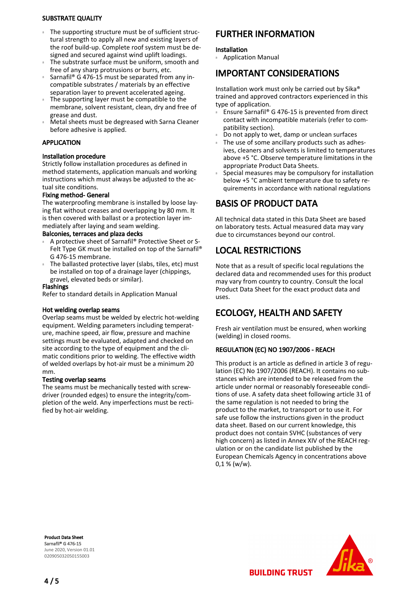### SUBSTRATE QUALITY

- The supporting structure must be of sufficient structural strength to apply all new and existing layers of the roof build-up. Complete roof system must be designed and secured against wind uplift loadings.  $\mathbbm{B}$  .
- The substrate surface must be uniform, smooth and free of any sharp protrusions or burrs, etc. Ē
- Sarnafil® G 476-15 must be separated from any incompatible substrates / materials by an effective separation layer to prevent accelerated ageing. ē
- The supporting layer must be compatible to the membrane, solvent resistant, clean, dry and free of grease and dust. Ē
- Metal sheets must be degreased with Sarna Cleaner before adhesive is applied. ē

## APPLICATION

## Installation procedure

Strictly follow installation procedures as defined in method statements, application manuals and working instructions which must always be adjusted to the actual site conditions.

## Fixing method- General

The waterproofing membrane is installed by loose laying flat without creases and overlapping by 80 mm. It is then covered with ballast or a protection layer immediately after laying and seam welding.

## Balconies, terraces and plaza decks

- A protective sheet of Sarnafil® Protective Sheet or S-Felt Type GK must be installed on top of the Sarnafil® G 476-15 membrane. ē
- The ballasted protective layer (slabs, tiles, etc) must be installed on top of a drainage layer (chippings, gravel, elevated beds or similar). Ē

#### Flashings

Refer to standard details in Application Manual

#### Hot welding overlap seams

Overlap seams must be welded by electric hot-welding equipment. Welding parameters including temperature, machine speed, air flow, pressure and machine settings must be evaluated, adapted and checked on site according to the type of equipment and the climatic conditions prior to welding. The effective width of welded overlaps by hot-air must be a minimum 20 mm.

#### Testing overlap seams

The seams must be mechanically tested with screwdriver (rounded edges) to ensure the integrity/completion of the weld. Any imperfections must be rectified by hot-air welding.

# FURTHER INFORMATION

#### Installation

Application Manual

## IMPORTANT CONSIDERATIONS

Installation work must only be carried out by Sika® trained and approved contractors experienced in this type of application.

- Ensure Sarnafil® G 476-15 is prevented from direct contact with incompatible materials (refer to compatibility section). ű
- Do not apply to wet, damp or unclean surfaces
- The use of some ancillary products such as adhesives, cleaners and solvents is limited to temperatures above +5 °C. Observe temperature limitations in the appropriate Product Data Sheets. ű
- Special measures may be compulsory for installation below +5 °C ambient temperature due to safety requirements in accordance with national regulations Œ

# BASIS OF PRODUCT DATA

All technical data stated in this Data Sheet are based on laboratory tests. Actual measured data may vary due to circumstances beyond our control.

# LOCAL RESTRICTIONS

Note that as a result of specific local regulations the declared data and recommended uses for this product may vary from country to country. Consult the local Product Data Sheet for the exact product data and uses.

# ECOLOGY, HEALTH AND SAFETY

Fresh air ventilation must be ensured, when working (welding) in closed rooms.

## REGULATION (EC) NO 1907/2006 - REACH

This product is an article as defined in article 3 of regulation (EC) No 1907/2006 (REACH). It contains no substances which are intended to be released from the article under normal or reasonably foreseeable conditions of use. A safety data sheet following article 31 of the same regulation is not needed to bring the product to the market, to transport or to use it. For safe use follow the instructions given in the product data sheet. Based on our current knowledge, this product does not contain SVHC (substances of very high concern) as listed in Annex XIV of the REACH regulation or on the candidate list published by the European Chemicals Agency in concentrations above 0,1 % (w/w).

Product Data Sheet Sarnafil® G 476-15 June 2020, Version 01.01 020905032050155003